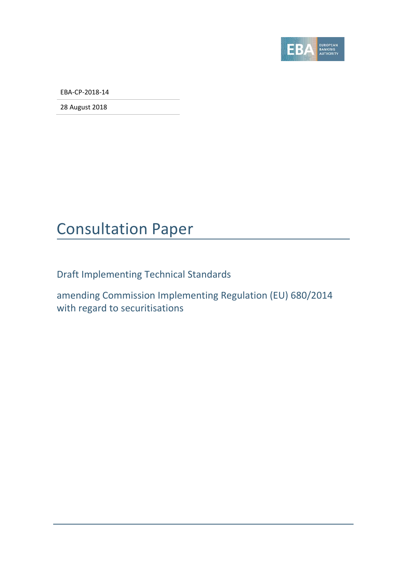

EBA-CP-2018-14

28 August 2018

# Consultation Paper

Draft Implementing Technical Standards

amending Commission Implementing Regulation (EU) 680/2014 with regard to securitisations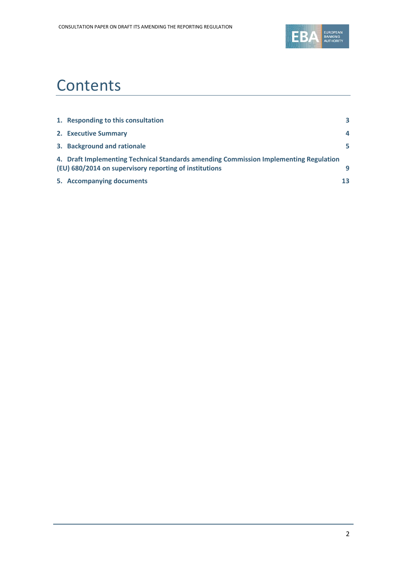

# **Contents**

| 1. Responding to this consultation                                                                                                              | 3  |
|-------------------------------------------------------------------------------------------------------------------------------------------------|----|
| 2. Executive Summary                                                                                                                            | 4  |
| 3. Background and rationale                                                                                                                     | 5. |
| 4. Draft Implementing Technical Standards amending Commission Implementing Regulation<br>(EU) 680/2014 on supervisory reporting of institutions | q  |
| 5. Accompanying documents                                                                                                                       | 13 |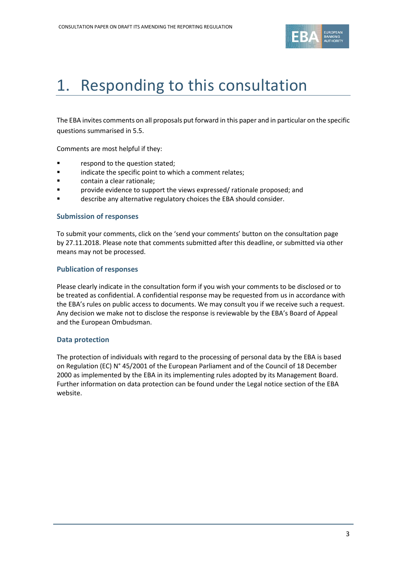

# <span id="page-2-0"></span>1. Responding to this consultation

The EBA invites comments on all proposals put forward in this paper and in particular on the specific questions summarised in [5.5.](#page-16-0)

Comments are most helpful if they:

- **Fallengia Exercise 1** respond to the question stated;
- **Example 3** indicate the specific point to which a comment relates;
- contain a clear rationale;
- provide evidence to support the views expressed/ rationale proposed; and
- **Example 2** describe any alternative regulatory choices the EBA should consider.

#### **Submission of responses**

To submit your comments, click on the 'send your comments' button on the consultation page by 27.11.2018. Please note that comments submitted after this deadline, or submitted via other means may not be processed.

#### **Publication of responses**

Please clearly indicate in the consultation form if you wish your comments to be disclosed or to be treated as confidential. A confidential response may be requested from us in accordance with the EBA's rules on public access to documents. We may consult you if we receive such a request. Any decision we make not to disclose the response is reviewable by the EBA's Board of Appeal and the European Ombudsman.

#### **Data protection**

The protection of individuals with regard to the processing of personal data by the EBA is based on Regulation (EC) N° 45/2001 of the European Parliament and of the Council of 18 December 2000 as implemented by the EBA in its implementing rules adopted by its Management Board. Further information on data protection can be found under the [Legal notice section](http://eba.europa.eu/legal-notice) of the EBA website.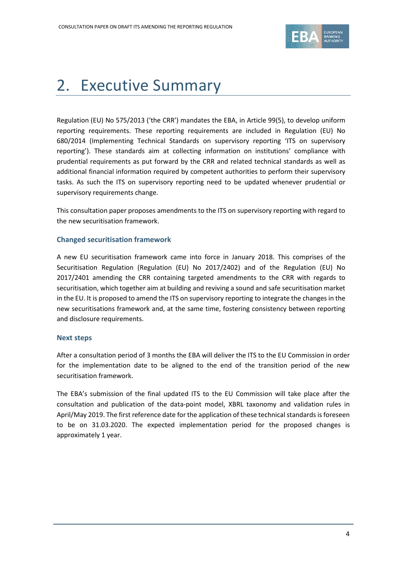

# <span id="page-3-0"></span>2. Executive Summary

Regulation (EU) No 575/2013 ('the CRR') mandates the EBA, in Article 99(5), to develop uniform reporting requirements. These reporting requirements are included in Regulation (EU) No 680/2014 (Implementing Technical Standards on supervisory reporting 'ITS on supervisory reporting'). These standards aim at collecting information on institutions' compliance with prudential requirements as put forward by the CRR and related technical standards as well as additional financial information required by competent authorities to perform their supervisory tasks. As such the ITS on supervisory reporting need to be updated whenever prudential or supervisory requirements change.

This consultation paper proposes amendments to the ITS on supervisory reporting with regard to the new securitisation framework.

## **Changed securitisation framework**

A new EU securitisation framework came into force in January 2018. This comprises of the Securitisation Regulation (Regulation (EU) No 2017/2402) and of the Regulation (EU) No 2017/2401 amending the CRR containing targeted amendments to the CRR with regards to securitisation, which together aim at building and reviving a sound and safe securitisation market in the EU. It is proposed to amend the ITS on supervisory reporting to integrate the changes in the new securitisations framework and, at the same time, fostering consistency between reporting and disclosure requirements.

### **Next steps**

After a consultation period of 3 months the EBA will deliver the ITS to the EU Commission in order for the implementation date to be aligned to the end of the transition period of the new securitisation framework.

The EBA's submission of the final updated ITS to the EU Commission will take place after the consultation and publication of the data-point model, XBRL taxonomy and validation rules in April/May 2019. The first reference date for the application of these technical standardsis foreseen to be on 31.03.2020. The expected implementation period for the proposed changes is approximately 1 year.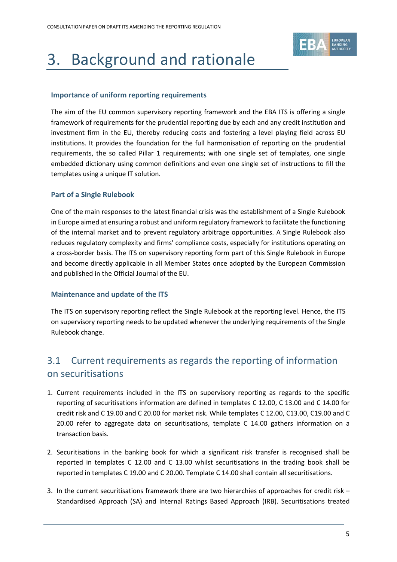

# <span id="page-4-0"></span>3. Background and rationale

## **Importance of uniform reporting requirements**

The aim of the EU common supervisory reporting framework and the EBA ITS is offering a single framework of requirements for the prudential reporting due by each and any credit institution and investment firm in the EU, thereby reducing costs and fostering a level playing field across EU institutions. It provides the foundation for the full harmonisation of reporting on the prudential requirements, the so called Pillar 1 requirements; with one single set of templates, one single embedded dictionary using common definitions and even one single set of instructions to fill the templates using a unique IT solution.

## **Part of a Single Rulebook**

One of the main responses to the latest financial crisis was the establishment of a Single Rulebook in Europe aimed at ensuring a robust and uniform regulatory framework to facilitate the functioning of the internal market and to prevent regulatory arbitrage opportunities. A Single Rulebook also reduces regulatory complexity and firms' compliance costs, especially for institutions operating on a cross-border basis. The ITS on supervisory reporting form part of this Single Rulebook in Europe and become directly applicable in all Member States once adopted by the European Commission and published in the Official Journal of the EU.

### **Maintenance and update of the ITS**

The ITS on supervisory reporting reflect the Single Rulebook at the reporting level. Hence, the ITS on supervisory reporting needs to be updated whenever the underlying requirements of the Single Rulebook change.

# 3.1 Current requirements as regards the reporting of information on securitisations

- 1. Current requirements included in the ITS on supervisory reporting as regards to the specific reporting of securitisations information are defined in templates C 12.00, C 13.00 and C 14.00 for credit risk and C 19.00 and C 20.00 for market risk. While templates C 12.00, C13.00, C19.00 and C 20.00 refer to aggregate data on securitisations, template C 14.00 gathers information on a transaction basis.
- 2. Securitisations in the banking book for which a significant risk transfer is recognised shall be reported in templates C 12.00 and C 13.00 whilst securitisations in the trading book shall be reported in templates C 19.00 and C 20.00. Template C 14.00 shall contain all securitisations.
- 3. In the current securitisations framework there are two hierarchies of approaches for credit risk Standardised Approach (SA) and Internal Ratings Based Approach (IRB). Securitisations treated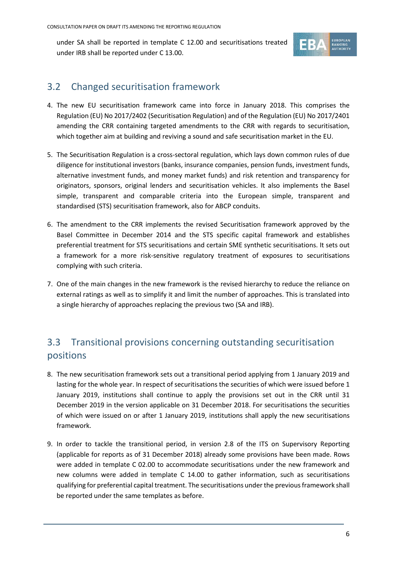under SA shall be reported in template C 12.00 and securitisations treated under IRB shall be reported under C 13.00.



# <span id="page-5-0"></span>3.2 Changed securitisation framework

- 4. The new EU securitisation framework came into force in January 2018. This comprises the Regulation (EU) No 2017/2402 (Securitisation Regulation) and of the Regulation (EU) No 2017/2401 amending the CRR containing targeted amendments to the CRR with regards to securitisation, which together aim at building and reviving a sound and safe securitisation market in the EU.
- 5. The Securitisation Regulation is a cross-sectoral regulation, which lays down common rules of due diligence for institutional investors (banks, insurance companies, pension funds, investment funds, alternative investment funds, and money market funds) and risk retention and transparency for originators, sponsors, original lenders and securitisation vehicles. It also implements the Basel simple, transparent and comparable criteria into the European simple, transparent and standardised (STS) securitisation framework, also for ABCP conduits.
- 6. The amendment to the CRR implements the revised Securitisation framework approved by the Basel Committee in December 2014 and the STS specific capital framework and establishes preferential treatment for STS securitisations and certain SME synthetic securitisations. It sets out a framework for a more risk-sensitive regulatory treatment of exposures to securitisations complying with such criteria.
- 7. One of the main changes in the new framework is the revised hierarchy to reduce the reliance on external ratings as well as to simplify it and limit the number of approaches. This is translated into a single hierarchy of approaches replacing the previous two (SA and IRB).

# <span id="page-5-1"></span>3.3 Transitional provisions concerning outstanding securitisation positions

- 8. The new securitisation framework sets out a transitional period applying from 1 January 2019 and lasting for the whole year. In respect of securitisations the securities of which were issued before 1 January 2019, institutions shall continue to apply the provisions set out in the CRR until 31 December 2019 in the version applicable on 31 December 2018. For securitisations the securities of which were issued on or after 1 January 2019, institutions shall apply the new securitisations framework.
- 9. In order to tackle the transitional period, in version 2.8 of the ITS on Supervisory Reporting (applicable for reports as of 31 December 2018) already some provisions have been made. Rows were added in template C 02.00 to accommodate securitisations under the new framework and new columns were added in template C 14.00 to gather information, such as securitisations qualifying for preferential capital treatment. The securitisations under the previous framework shall be reported under the same templates as before.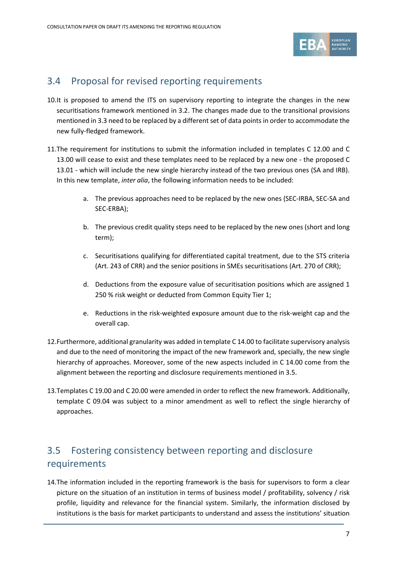

# 3.4 Proposal for revised reporting requirements

- 10.It is proposed to amend the ITS on supervisory reporting to integrate the changes in the new securitisations framework mentioned in [3.2.](#page-5-0) The changes made due to the transitional provisions mentioned in [3.3](#page-5-1) need to be replaced by a different set of data points in order to accommodate the new fully-fledged framework.
- 11.The requirement for institutions to submit the information included in templates C 12.00 and C 13.00 will cease to exist and these templates need to be replaced by a new one - the proposed C 13.01 - which will include the new single hierarchy instead of the two previous ones (SA and IRB). In this new template, *inter alia*, the following information needs to be included:
	- a. The previous approaches need to be replaced by the new ones (SEC-IRBA, SEC-SA and SEC-ERBA);
	- b. The previous credit quality steps need to be replaced by the new ones (short and long term);
	- c. Securitisations qualifying for differentiated capital treatment, due to the STS criteria (Art. 243 of CRR) and the senior positions in SMEs securitisations (Art. 270 of CRR);
	- d. Deductions from the exposure value of securitisation positions which are assigned 1 250 % risk weight or deducted from Common Equity Tier 1;
	- e. Reductions in the risk-weighted exposure amount due to the risk-weight cap and the overall cap.
- 12.Furthermore, additional granularity was added in template C 14.00 to facilitate supervisory analysis and due to the need of monitoring the impact of the new framework and, specially, the new single hierarchy of approaches. Moreover, some of the new aspects included in C 14.00 come from the alignment between the reporting and disclosure requirements mentioned i[n 3.5.](#page-6-0)
- 13.Templates C 19.00 and C 20.00 were amended in order to reflect the new framework. Additionally, template C 09.04 was subject to a minor amendment as well to reflect the single hierarchy of approaches.

# <span id="page-6-0"></span>3.5 Fostering consistency between reporting and disclosure requirements

14.The information included in the reporting framework is the basis for supervisors to form a clear picture on the situation of an institution in terms of business model / profitability, solvency / risk profile, liquidity and relevance for the financial system. Similarly, the information disclosed by institutions is the basis for market participants to understand and assess the institutions' situation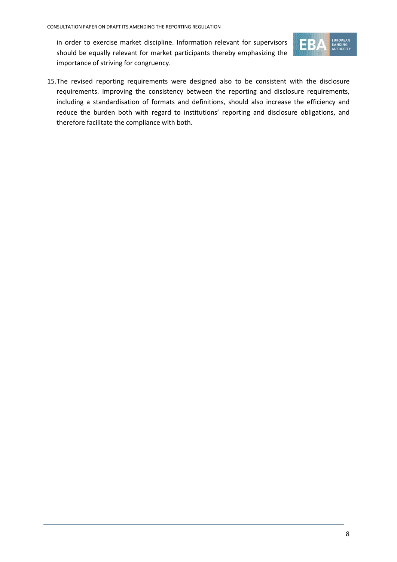in order to exercise market discipline. Information relevant for supervisors should be equally relevant for market participants thereby emphasizing the importance of striving for congruency.



15.The revised reporting requirements were designed also to be consistent with the disclosure requirements. Improving the consistency between the reporting and disclosure requirements, including a standardisation of formats and definitions, should also increase the efficiency and reduce the burden both with regard to institutions' reporting and disclosure obligations, and therefore facilitate the compliance with both.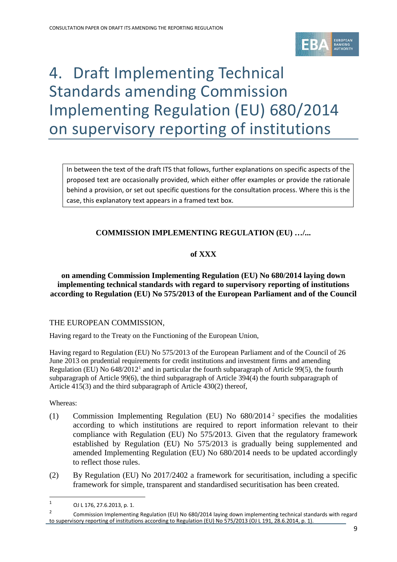

# <span id="page-8-0"></span>4. Draft Implementing Technical Standards amending Commission Implementing Regulation (EU) 680/2014 on supervisory reporting of institutions

In between the text of the draft ITS that follows, further explanations on specific aspects of the proposed text are occasionally provided, which either offer examples or provide the rationale behind a provision, or set out specific questions for the consultation process. Where this is the case, this explanatory text appears in a framed text box.

## **COMMISSION IMPLEMENTING REGULATION (EU) …/...**

## **of XXX**

## **on amending Commission Implementing Regulation (EU) No 680/2014 laying down implementing technical standards with regard to supervisory reporting of institutions according to Regulation (EU) No 575/2013 of the European Parliament and of the Council**

### THE EUROPEAN COMMISSION,

Having regard to the Treaty on the Functioning of the European Union,

Having regard to Regulation (EU) No 575/2013 of the European Parliament and of the Council of 26 June 2013 on prudential requirements for credit institutions and investment firms and amending Regulation (EU) No  $648/2012<sup>1</sup>$  $648/2012<sup>1</sup>$  $648/2012<sup>1</sup>$  and in particular the fourth subparagraph of Article 99(5), the fourth subparagraph of Article 99(6), the third subparagraph of Article 394(4) the fourth subparagraph of Article 415(3) and the third subparagraph of Article 430(2) thereof,

Whereas:

 $\overline{a}$ 

- (1) Commission Implementing Regulation (EU) No  $680/2014^2$  $680/2014^2$  $680/2014^2$  specifies the modalities according to which institutions are required to report information relevant to their compliance with Regulation (EU) No 575/2013. Given that the regulatory framework established by Regulation (EU) No 575/2013 is gradually being supplemented and amended Implementing Regulation (EU) No 680/2014 needs to be updated accordingly to reflect those rules.
- (2) By Regulation (EU) No 2017/2402 a framework for securitisation, including a specific framework for simple, transparent and standardised securitisation has been created.

<span id="page-8-1"></span><sup>1</sup> OJ L 176, 27.6.2013, p. 1.

<span id="page-8-2"></span><sup>&</sup>lt;sup>2</sup> Commission Implementing Regulation (EU) No 680/2014 laying down implementing technical standards with regard to supervisory reporting of institutions according to Regulation (EU) No 575/2013 (OJ L 191, 28.6.2014, p. 1).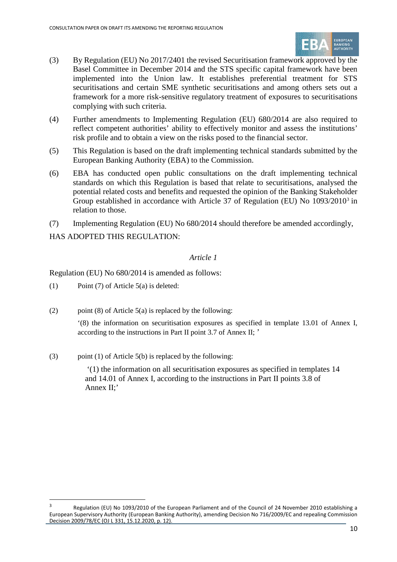

- (3) By Regulation (EU) No 2017/2401 the revised Securitisation framework approved by the Basel Committee in December 2014 and the STS specific capital framework have been implemented into the Union law. It establishes preferential treatment for STS securitisations and certain SME synthetic securitisations and among others sets out a framework for a more risk-sensitive regulatory treatment of exposures to securitisations complying with such criteria.
- (4) Further amendments to Implementing Regulation (EU) 680/2014 are also required to reflect competent authorities' ability to effectively monitor and assess the institutions' risk profile and to obtain a view on the risks posed to the financial sector.
- (5) This Regulation is based on the draft implementing technical standards submitted by the European Banking Authority (EBA) to the Commission.
- (6) EBA has conducted open public consultations on the draft implementing technical standards on which this Regulation is based that relate to securitisations, analysed the potential related costs and benefits and requested the opinion of the Banking Stakeholder Group established in accordance with Article 37 of Regulation (EU) No 1093/2010[3](#page-9-0) in relation to those.
- (7) Implementing Regulation (EU) No 680/2014 should therefore be amended accordingly,

HAS ADOPTED THIS REGULATION:

## *Article 1*

Regulation (EU) No 680/2014 is amended as follows:

(1) Point (7) of Article 5(a) is deleted:

 $\overline{a}$ 

(2) point (8) of Article  $5(a)$  is replaced by the following:

'(8) the information on securitisation exposures as specified in template 13.01 of Annex I, according to the instructions in Part II point 3.7 of Annex II; '

(3) point (1) of Article 5(b) is replaced by the following:

'(1) the information on all securitisation exposures as specified in templates 14 and 14.01 of Annex I, according to the instructions in Part II points 3.8 of Annex II;'

<span id="page-9-0"></span>Regulation (EU) No 1093/2010 of the European Parliament and of the Council of 24 November 2010 establishing a European Supervisory Authority (European Banking Authority), amending Decision No 716/2009/EC and repealing Commission Decision 2009/78/EC (OJ L 331, 15.12.2020, p. 12).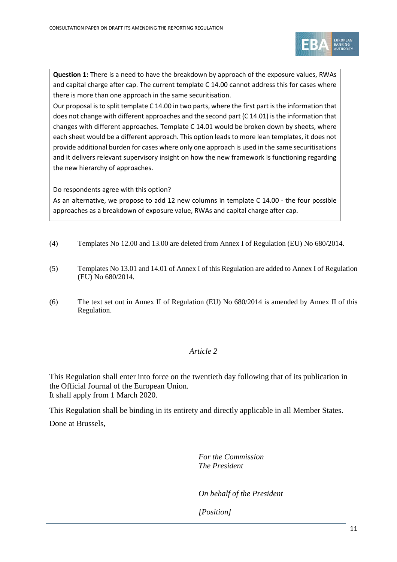

**Question 1:** There is a need to have the breakdown by approach of the exposure values, RWAs and capital charge after cap. The current template C 14.00 cannot address this for cases where there is more than one approach in the same securitisation.

Our proposal is to split template C 14.00 in two parts, where the first part is the information that does not change with different approaches and the second part (C 14.01) isthe information that changes with different approaches. Template C 14.01 would be broken down by sheets, where each sheet would be a different approach. This option leads to more lean templates, it does not provide additional burden for cases where only one approach is used in the same securitisations and it delivers relevant supervisory insight on how the new framework is functioning regarding the new hierarchy of approaches.

Do respondents agree with this option?

As an alternative, we propose to add 12 new columns in template C 14.00 - the four possible approaches as a breakdown of exposure value, RWAs and capital charge after cap.

- (4) Templates No 12.00 and 13.00 are deleted from Annex I of Regulation (EU) No 680/2014.
- (5) Templates No 13.01 and 14.01 of Annex I of this Regulation are added to Annex I of Regulation (EU) No 680/2014.
- (6) The text set out in Annex II of Regulation (EU) No 680/2014 is amended by Annex II of this Regulation.

## *Article 2*

This Regulation shall enter into force on the twentieth day following that of its publication in the Official Journal of the European Union. It shall apply from 1 March 2020.

This Regulation shall be binding in its entirety and directly applicable in all Member States. Done at Brussels,

> *For the Commission The President*

*On behalf of the President* 

*[Position]*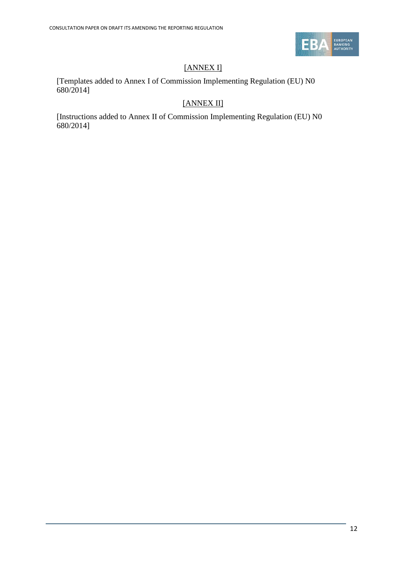

# [ANNEX I]

[Templates added to Annex I of Commission Implementing Regulation (EU) N0 680/2014]

# [ANNEX II]

[Instructions added to Annex II of Commission Implementing Regulation (EU) N0 680/2014]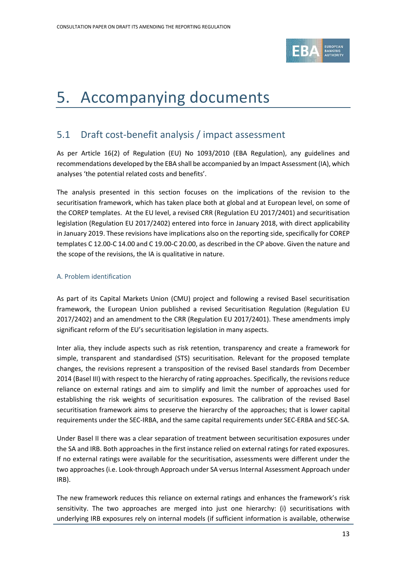

# <span id="page-12-0"></span>5. Accompanying documents

# 5.1 Draft cost-benefit analysis / impact assessment

As per Article 16(2) of Regulation (EU) No 1093/2010 (EBA Regulation), any guidelines and recommendations developed by the EBA shall be accompanied by an Impact Assessment (IA), which analyses 'the potential related costs and benefits'.

The analysis presented in this section focuses on the implications of the revision to the securitisation framework, which has taken place both at global and at European level, on some of the COREP templates. At the EU level, a revised CRR (Regulation EU 2017/2401) and securitisation legislation (Regulation EU 2017/2402) entered into force in January 2018, with direct applicability in January 2019. These revisions have implications also on the reporting side, specifically for COREP templates C 12.00-C 14.00 and C 19.00-C 20.00, as described in the CP above. Given the nature and the scope of the revisions, the IA is qualitative in nature.

### A. Problem identification

As part of its Capital Markets Union (CMU) project and following a revised Basel securitisation framework, the European Union published a revised Securitisation Regulation (Regulation EU 2017/2402) and an amendment to the CRR (Regulation EU 2017/2401). These amendments imply significant reform of the EU's securitisation legislation in many aspects.

Inter alia, they include aspects such as risk retention, transparency and create a framework for simple, transparent and standardised (STS) securitisation. Relevant for the proposed template changes, the revisions represent a transposition of the revised Basel standards from December 2014 (Basel III) with respect to the hierarchy of rating approaches. Specifically, the revisions reduce reliance on external ratings and aim to simplify and limit the number of approaches used for establishing the risk weights of securitisation exposures. The calibration of the revised Basel securitisation framework aims to preserve the hierarchy of the approaches; that is lower capital requirements under the SEC-IRBA, and the same capital requirements under SEC-ERBA and SEC-SA.

Under Basel II there was a clear separation of treatment between securitisation exposures under the SA and IRB. Both approaches in the first instance relied on external ratings for rated exposures. If no external ratings were available for the securitisation, assessments were different under the two approaches (i.e. Look-through Approach under SA versus Internal Assessment Approach under IRB).

The new framework reduces this reliance on external ratings and enhances the framework's risk sensitivity. The two approaches are merged into just one hierarchy: (i) securitisations with underlying IRB exposures rely on internal models (if sufficient information is available, otherwise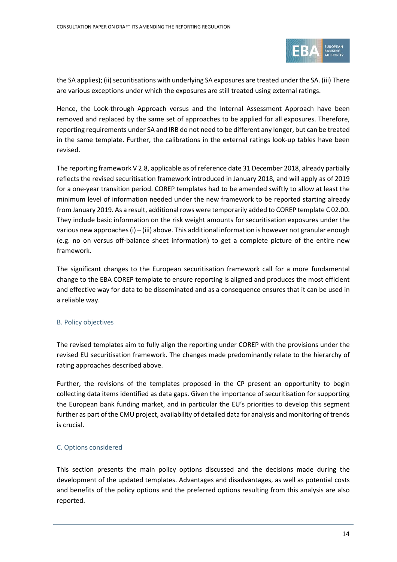

the SA applies); (ii) securitisations with underlying SA exposures are treated under the SA. (iii) There are various exceptions under which the exposures are still treated using external ratings.

Hence, the Look-through Approach versus and the Internal Assessment Approach have been removed and replaced by the same set of approaches to be applied for all exposures. Therefore, reporting requirements under SA and IRB do not need to be different any longer, but can be treated in the same template. Further, the calibrations in the external ratings look-up tables have been revised.

The reporting framework V 2.8, applicable as of reference date 31 December 2018, already partially reflects the revised securitisation framework introduced in January 2018, and will apply as of 2019 for a one-year transition period. COREP templates had to be amended swiftly to allow at least the minimum level of information needed under the new framework to be reported starting already from January 2019. As a result, additional rows were temporarily added to COREP template C 02.00. They include basic information on the risk weight amounts for securitisation exposures under the various new approaches (i) – (iii) above. This additional information is however not granular enough (e.g. no on versus off-balance sheet information) to get a complete picture of the entire new framework.

The significant changes to the European securitisation framework call for a more fundamental change to the EBA COREP template to ensure reporting is aligned and produces the most efficient and effective way for data to be disseminated and as a consequence ensures that it can be used in a reliable way.

### B. Policy objectives

The revised templates aim to fully align the reporting under COREP with the provisions under the revised EU securitisation framework. The changes made predominantly relate to the hierarchy of rating approaches described above.

Further, the revisions of the templates proposed in the CP present an opportunity to begin collecting data items identified as data gaps. Given the importance of securitisation for supporting the European bank funding market, and in particular the EU's priorities to develop this segment further as part of the CMU project, availability of detailed data for analysis and monitoring of trends is crucial.

### C. Options considered

This section presents the main policy options discussed and the decisions made during the development of the updated templates. Advantages and disadvantages, as well as potential costs and benefits of the policy options and the preferred options resulting from this analysis are also reported.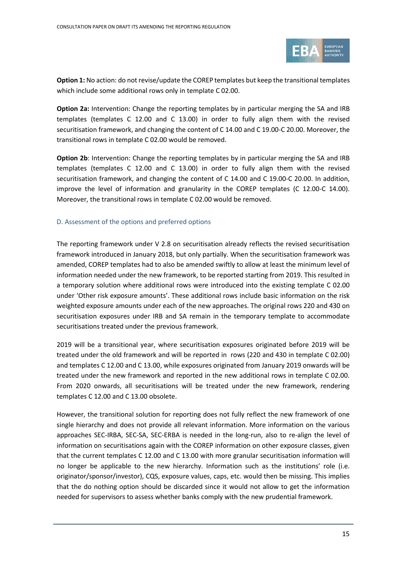

**Option 1:** No action: do not revise/update the COREP templates but keep the transitional templates which include some additional rows only in template C 02.00.

**Option 2a:** Intervention: Change the reporting templates by in particular merging the SA and IRB templates (templates C 12.00 and C 13.00) in order to fully align them with the revised securitisation framework, and changing the content of C 14.00 and C 19.00-C 20.00. Moreover, the transitional rows in template C 02.00 would be removed.

**Option 2b**: Intervention: Change the reporting templates by in particular merging the SA and IRB templates (templates C 12.00 and C 13.00) in order to fully align them with the revised securitisation framework, and changing the content of C 14.00 and C 19.00-C 20.00. In addition, improve the level of information and granularity in the COREP templates (C 12.00-C 14.00). Moreover, the transitional rows in template C 02.00 would be removed.

### D. Assessment of the options and preferred options

The reporting framework under V 2.8 on securitisation already reflects the revised securitisation framework introduced in January 2018, but only partially. When the securitisation framework was amended, COREP templates had to also be amended swiftly to allow at least the minimum level of information needed under the new framework, to be reported starting from 2019. This resulted in a temporary solution where additional rows were introduced into the existing template C 02.00 under 'Other risk exposure amounts'. These additional rows include basic information on the risk weighted exposure amounts under each of the new approaches. The original rows 220 and 430 on securitisation exposures under IRB and SA remain in the temporary template to accommodate securitisations treated under the previous framework.

2019 will be a transitional year, where securitisation exposures originated before 2019 will be treated under the old framework and will be reported in rows (220 and 430 in template C 02.00) and templates C 12.00 and C 13.00, while exposures originated from January 2019 onwards will be treated under the new framework and reported in the new additional rows in template C 02.00. From 2020 onwards, all securitisations will be treated under the new framework, rendering templates C 12.00 and C 13.00 obsolete.

However, the transitional solution for reporting does not fully reflect the new framework of one single hierarchy and does not provide all relevant information. More information on the various approaches SEC-IRBA, SEC-SA, SEC-ERBA is needed in the long-run, also to re-align the level of information on securitisations again with the COREP information on other exposure classes, given that the current templates C 12.00 and C 13.00 with more granular securitisation information will no longer be applicable to the new hierarchy. Information such as the institutions' role (i.e. originator/sponsor/investor), CQS, exposure values, caps, etc. would then be missing. This implies that the do nothing option should be discarded since it would not allow to get the information needed for supervisors to assess whether banks comply with the new prudential framework.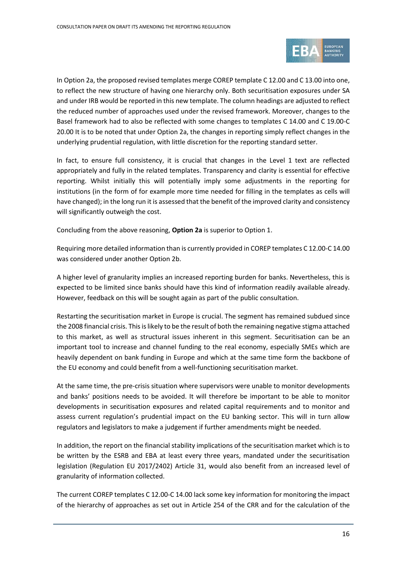

In Option 2a, the proposed revised templates merge COREP template C 12.00 and C 13.00 into one, to reflect the new structure of having one hierarchy only. Both securitisation exposures under SA and under IRB would be reported in this new template. The column headings are adjusted to reflect the reduced number of approaches used under the revised framework. Moreover, changes to the Basel framework had to also be reflected with some changes to templates C 14.00 and C 19.00-C 20.00 It is to be noted that under Option 2a, the changes in reporting simply reflect changes in the underlying prudential regulation, with little discretion for the reporting standard setter.

In fact, to ensure full consistency, it is crucial that changes in the Level 1 text are reflected appropriately and fully in the related templates. Transparency and clarity is essential for effective reporting. Whilst initially this will potentially imply some adjustments in the reporting for institutions (in the form of for example more time needed for filling in the templates as cells will have changed); in the long run it is assessed that the benefit of the improved clarity and consistency will significantly outweigh the cost.

Concluding from the above reasoning, **Option 2a** is superior to Option 1.

Requiring more detailed information than is currently provided in COREP templates C 12.00-C 14.00 was considered under another Option 2b.

A higher level of granularity implies an increased reporting burden for banks. Nevertheless, this is expected to be limited since banks should have this kind of information readily available already. However, feedback on this will be sought again as part of the public consultation.

Restarting the securitisation market in Europe is crucial. The segment has remained subdued since the 2008 financial crisis. This is likely to be the result of both the remaining negative stigma attached to this market, as well as structural issues inherent in this segment. Securitisation can be an important tool to increase and channel funding to the real economy, especially SMEs which are heavily dependent on bank funding in Europe and which at the same time form the backbone of the EU economy and could benefit from a well-functioning securitisation market.

At the same time, the pre-crisis situation where supervisors were unable to monitor developments and banks' positions needs to be avoided. It will therefore be important to be able to monitor developments in securitisation exposures and related capital requirements and to monitor and assess current regulation's prudential impact on the EU banking sector. This will in turn allow regulators and legislators to make a judgement if further amendments might be needed.

In addition, the report on the financial stability implications of the securitisation market which is to be written by the ESRB and EBA at least every three years, mandated under the securitisation legislation (Regulation EU 2017/2402) Article 31, would also benefit from an increased level of granularity of information collected.

The current COREP templates C 12.00-C 14.00 lack some key information for monitoring the impact of the hierarchy of approaches as set out in Article 254 of the CRR and for the calculation of the